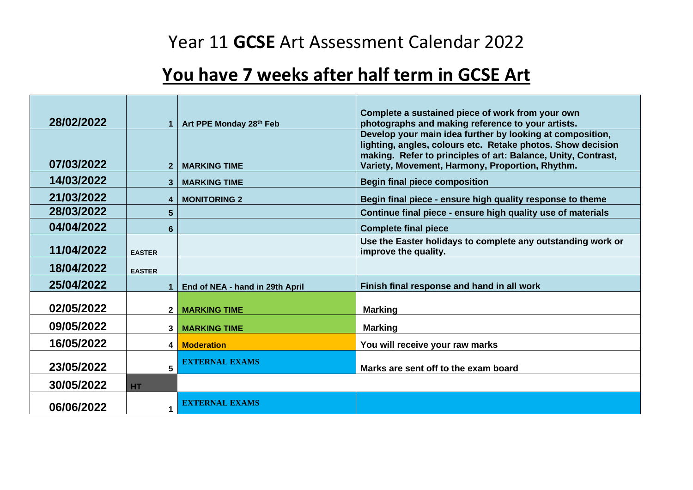## Year 11 **GCSE** Art Assessment Calendar 2022

## **You have 7 weeks after half term in GCSE Art**

|            |               |                                 | Complete a sustained piece of work from your own                                                                         |
|------------|---------------|---------------------------------|--------------------------------------------------------------------------------------------------------------------------|
| 28/02/2022 |               | Art PPE Monday 28th Feb         | photographs and making reference to your artists.                                                                        |
|            |               |                                 | Develop your main idea further by looking at composition,<br>lighting, angles, colours etc. Retake photos. Show decision |
|            |               |                                 | making. Refer to principles of art: Balance, Unity, Contrast,                                                            |
| 07/03/2022 |               | <b>MARKING TIME</b>             | Variety, Movement, Harmony, Proportion, Rhythm.                                                                          |
| 14/03/2022 | 3             | <b>MARKING TIME</b>             | <b>Begin final piece composition</b>                                                                                     |
| 21/03/2022 | 4             | <b>MONITORING 2</b>             | Begin final piece - ensure high quality response to theme                                                                |
| 28/03/2022 | 5             |                                 | Continue final piece - ensure high quality use of materials                                                              |
| 04/04/2022 | 6             |                                 | <b>Complete final piece</b>                                                                                              |
| 11/04/2022 | <b>EASTER</b> |                                 | Use the Easter holidays to complete any outstanding work or<br>improve the quality.                                      |
| 18/04/2022 | <b>EASTER</b> |                                 |                                                                                                                          |
| 25/04/2022 |               | End of NEA - hand in 29th April | Finish final response and hand in all work                                                                               |
|            |               |                                 |                                                                                                                          |
| 02/05/2022 | $\mathbf{2}$  | <b>MARKING TIME</b>             | <b>Marking</b>                                                                                                           |
| 09/05/2022 | 3             | <b>MARKING TIME</b>             | <b>Marking</b>                                                                                                           |
| 16/05/2022 | 4             | <b>Moderation</b>               | You will receive your raw marks                                                                                          |
|            |               | <b>EXTERNAL EXAMS</b>           |                                                                                                                          |
| 23/05/2022 | 5             |                                 | Marks are sent off to the exam board                                                                                     |
| 30/05/2022 | HT.           |                                 |                                                                                                                          |
| 06/06/2022 |               | <b>EXTERNAL EXAMS</b>           |                                                                                                                          |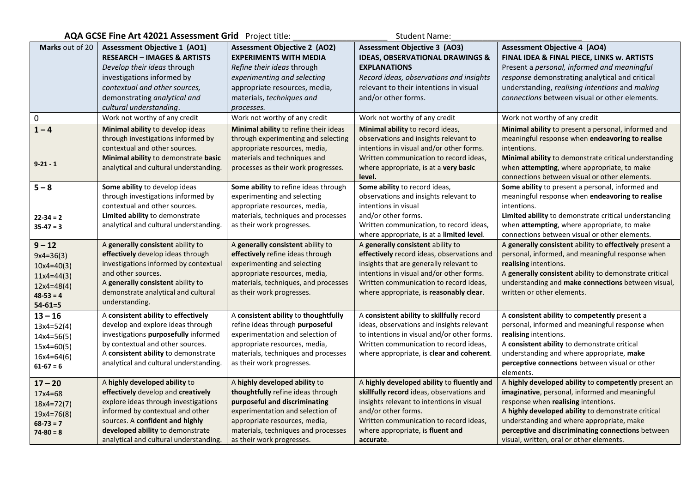| AQA GCSE Fine Art 42021 Assessment Grid Project title:<br><b>Student Name:</b> |                                                                                                                                                                                           |                                                                                                                                                                                      |                                                                                                                                                                                                                    |                                                                                                                                                                                                                                                                                |  |  |
|--------------------------------------------------------------------------------|-------------------------------------------------------------------------------------------------------------------------------------------------------------------------------------------|--------------------------------------------------------------------------------------------------------------------------------------------------------------------------------------|--------------------------------------------------------------------------------------------------------------------------------------------------------------------------------------------------------------------|--------------------------------------------------------------------------------------------------------------------------------------------------------------------------------------------------------------------------------------------------------------------------------|--|--|
| Marks out of 20                                                                | <b>Assessment Objective 1 (AO1)</b><br><b>RESEARCH - IMAGES &amp; ARTISTS</b>                                                                                                             | <b>Assessment Objective 2 (AO2)</b><br><b>EXPERIMENTS WITH MEDIA</b>                                                                                                                 | <b>Assessment Objective 3 (AO3)</b><br><b>IDEAS, OBSERVATIONAL DRAWINGS &amp;</b>                                                                                                                                  | <b>Assessment Objective 4 (AO4)</b><br>FINAL IDEA & FINAL PIECE, LINKS w. ARTISTS                                                                                                                                                                                              |  |  |
|                                                                                | Develop their ideas through                                                                                                                                                               | Refine their ideas through                                                                                                                                                           | <b>EXPLANATIONS</b>                                                                                                                                                                                                | Present a personal, informed and meaningful                                                                                                                                                                                                                                    |  |  |
|                                                                                | investigations informed by                                                                                                                                                                | experimenting and selecting                                                                                                                                                          | Record ideas, observations and insights                                                                                                                                                                            | response demonstrating analytical and critical                                                                                                                                                                                                                                 |  |  |
|                                                                                | contextual and other sources,                                                                                                                                                             | appropriate resources, media,                                                                                                                                                        | relevant to their intentions in visual                                                                                                                                                                             | understanding, realising intentions and making                                                                                                                                                                                                                                 |  |  |
|                                                                                | demonstrating analytical and                                                                                                                                                              | materials, techniques and                                                                                                                                                            | and/or other forms.                                                                                                                                                                                                | connections between visual or other elements.                                                                                                                                                                                                                                  |  |  |
|                                                                                | cultural understanding.                                                                                                                                                                   | processes.                                                                                                                                                                           |                                                                                                                                                                                                                    |                                                                                                                                                                                                                                                                                |  |  |
| $\mathbf 0$                                                                    | Work not worthy of any credit                                                                                                                                                             | Work not worthy of any credit                                                                                                                                                        | Work not worthy of any credit                                                                                                                                                                                      | Work not worthy of any credit                                                                                                                                                                                                                                                  |  |  |
| $1 - 4$<br>$9 - 21 - 1$                                                        | Minimal ability to develop ideas<br>through investigations informed by<br>contextual and other sources.<br>Minimal ability to demonstrate basic<br>analytical and cultural understanding. | Minimal ability to refine their ideas<br>through experimenting and selecting<br>appropriate resources, media,<br>materials and techniques and<br>processes as their work progresses. | Minimal ability to record ideas,<br>observations and insights relevant to<br>intentions in visual and/or other forms.<br>Written communication to record ideas,<br>where appropriate, is at a very basic<br>level. | Minimal ability to present a personal, informed and<br>meaningful response when endeavoring to realise<br>intentions.<br>Minimal ability to demonstrate critical understanding<br>when attempting, where appropriate, to make<br>connections between visual or other elements. |  |  |
| $5 - 8$                                                                        | Some ability to develop ideas                                                                                                                                                             | Some ability to refine ideas through                                                                                                                                                 | Some ability to record ideas,                                                                                                                                                                                      | Some ability to present a personal, informed and                                                                                                                                                                                                                               |  |  |
|                                                                                | through investigations informed by                                                                                                                                                        | experimenting and selecting                                                                                                                                                          | observations and insights relevant to                                                                                                                                                                              | meaningful response when endeavoring to realise                                                                                                                                                                                                                                |  |  |
|                                                                                | contextual and other sources.                                                                                                                                                             | appropriate resources, media,                                                                                                                                                        | intentions in visual                                                                                                                                                                                               | intentions.                                                                                                                                                                                                                                                                    |  |  |
| $22 - 34 = 2$                                                                  | Limited ability to demonstrate                                                                                                                                                            | materials, techniques and processes                                                                                                                                                  | and/or other forms.                                                                                                                                                                                                | <b>Limited ability</b> to demonstrate critical understanding                                                                                                                                                                                                                   |  |  |
| $35-47 = 3$                                                                    | analytical and cultural understanding.                                                                                                                                                    | as their work progresses.                                                                                                                                                            | Written communication, to record ideas,                                                                                                                                                                            | when attempting, where appropriate, to make                                                                                                                                                                                                                                    |  |  |
|                                                                                |                                                                                                                                                                                           |                                                                                                                                                                                      | where appropriate, is at a limited level.                                                                                                                                                                          | connections between visual or other elements.                                                                                                                                                                                                                                  |  |  |
| $9 - 12$                                                                       | A generally consistent ability to                                                                                                                                                         | A generally consistent ability to                                                                                                                                                    | A generally consistent ability to                                                                                                                                                                                  | A generally consistent ability to effectively present a                                                                                                                                                                                                                        |  |  |
| $9x4=36(3)$                                                                    | effectively develop ideas through                                                                                                                                                         | effectively refine ideas through                                                                                                                                                     | effectively record ideas, observations and                                                                                                                                                                         | personal, informed, and meaningful response when                                                                                                                                                                                                                               |  |  |
| $10x4=40(3)$                                                                   | investigations informed by contextual                                                                                                                                                     | experimenting and selecting                                                                                                                                                          | insights that are generally relevant to                                                                                                                                                                            | realising intentions.                                                                                                                                                                                                                                                          |  |  |
| $11x4=44(3)$                                                                   | and other sources.                                                                                                                                                                        | appropriate resources, media,                                                                                                                                                        | intentions in visual and/or other forms.                                                                                                                                                                           | A generally consistent ability to demonstrate critical                                                                                                                                                                                                                         |  |  |
| $12x4=48(4)$                                                                   | A generally consistent ability to                                                                                                                                                         | materials, techniques, and processes                                                                                                                                                 | Written communication to record ideas,                                                                                                                                                                             | understanding and make connections between visual,                                                                                                                                                                                                                             |  |  |
|                                                                                |                                                                                                                                                                                           |                                                                                                                                                                                      |                                                                                                                                                                                                                    |                                                                                                                                                                                                                                                                                |  |  |
| $48-53 = 4$                                                                    | demonstrate analytical and cultural                                                                                                                                                       | as their work progresses.                                                                                                                                                            | where appropriate, is reasonably clear.                                                                                                                                                                            | written or other elements.                                                                                                                                                                                                                                                     |  |  |
| $54 - 61 = 5$                                                                  | understanding.                                                                                                                                                                            |                                                                                                                                                                                      |                                                                                                                                                                                                                    |                                                                                                                                                                                                                                                                                |  |  |
| $13 - 16$                                                                      | A consistent ability to effectively                                                                                                                                                       | A consistent ability to thoughtfully                                                                                                                                                 | A consistent ability to skillfully record                                                                                                                                                                          | A consistent ability to competently present a                                                                                                                                                                                                                                  |  |  |
| $13x4=52(4)$                                                                   | develop and explore ideas through                                                                                                                                                         | refine ideas through purposeful                                                                                                                                                      | ideas, observations and insights relevant                                                                                                                                                                          | personal, informed and meaningful response when                                                                                                                                                                                                                                |  |  |
|                                                                                | investigations purposefully informed                                                                                                                                                      | experimentation and selection of                                                                                                                                                     | to intentions in visual and/or other forms.                                                                                                                                                                        | realising intentions.                                                                                                                                                                                                                                                          |  |  |
| $14x4=56(5)$                                                                   | by contextual and other sources.                                                                                                                                                          | appropriate resources, media,                                                                                                                                                        | Written communication to record ideas,                                                                                                                                                                             | A consistent ability to demonstrate critical                                                                                                                                                                                                                                   |  |  |
| $15x4=60(5)$                                                                   | A consistent ability to demonstrate                                                                                                                                                       | materials, techniques and processes                                                                                                                                                  | where appropriate, is clear and coherent.                                                                                                                                                                          | understanding and where appropriate, make                                                                                                                                                                                                                                      |  |  |
| $16x4=64(6)$<br>$61-67 = 6$                                                    | analytical and cultural understanding.                                                                                                                                                    | as their work progresses.                                                                                                                                                            |                                                                                                                                                                                                                    | perceptive connections between visual or other<br>elements.                                                                                                                                                                                                                    |  |  |
| $17 - 20$                                                                      | A highly developed ability to                                                                                                                                                             | A highly developed ability to                                                                                                                                                        | A highly developed ability to fluently and                                                                                                                                                                         | A highly developed ability to competently present an                                                                                                                                                                                                                           |  |  |
| $17x4=68$                                                                      | effectively develop and creatively                                                                                                                                                        | thoughtfully refine ideas through                                                                                                                                                    | skillfully record ideas, observations and                                                                                                                                                                          | imaginative, personal, informed and meaningful                                                                                                                                                                                                                                 |  |  |
| $18x4=72(7)$                                                                   | explore ideas through investigations                                                                                                                                                      | purposeful and discriminating                                                                                                                                                        | insights relevant to intentions in visual                                                                                                                                                                          | response when realising intentions.                                                                                                                                                                                                                                            |  |  |
| $19x4=76(8)$                                                                   | informed by contextual and other                                                                                                                                                          | experimentation and selection of                                                                                                                                                     | and/or other forms.                                                                                                                                                                                                | A highly developed ability to demonstrate critical                                                                                                                                                                                                                             |  |  |
| $68-73=7$                                                                      | sources. A confident and highly                                                                                                                                                           | appropriate resources, media,                                                                                                                                                        | Written communication to record ideas,                                                                                                                                                                             | understanding and where appropriate, make                                                                                                                                                                                                                                      |  |  |
| $74 - 80 = 8$                                                                  | developed ability to demonstrate<br>analytical and cultural understanding.                                                                                                                | materials, techniques and processes<br>as their work progresses.                                                                                                                     | where appropriate, is fluent and<br>accurate.                                                                                                                                                                      | perceptive and discriminating connections between<br>visual, written, oral or other elements.                                                                                                                                                                                  |  |  |